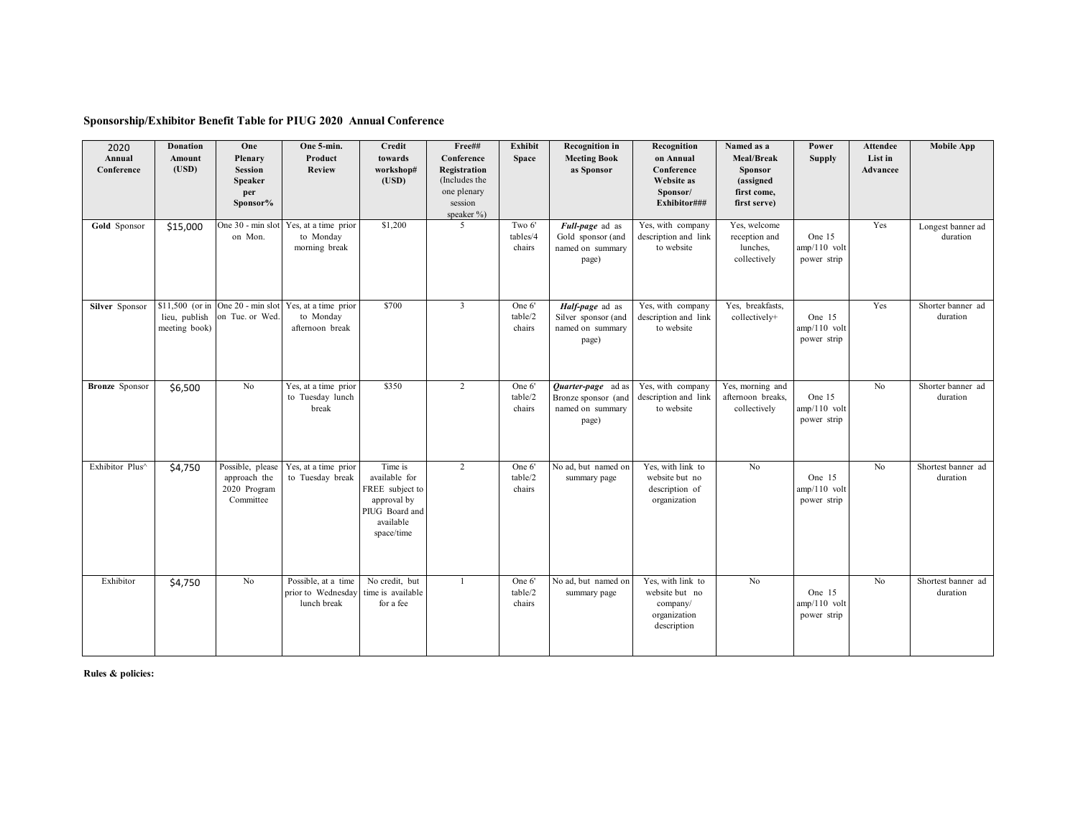## **Sponsorship/Exhibitor Benefit Table for PIUG 2020 Annual Conference**

| 2020<br>Annual<br>Conference | <b>Donation</b><br>Amount<br>(USD) | One<br>Plenary<br><b>Session</b><br><b>Speaker</b><br>per<br>Sponsor% | One 5-min.<br>Product<br><b>Review</b>                                                 | Credit<br>towards<br>workshop#<br>(USD)                                                                 | Free##<br>Conference<br>Registration<br>(Includes the<br>one plenary<br>session<br>speaker %) | <b>Exhibit</b><br><b>Space</b> | <b>Recognition</b> in<br><b>Meeting Book</b><br>as Sponsor             | Recognition<br>on Annual<br>Conference<br>Website as<br>Sponsor/<br>Exhibitor### | Named as a<br>Meal/Break<br><b>Sponsor</b><br>(assigned<br>first come,<br>first serve) | Power<br><b>Supply</b>                  | <b>Attendee</b><br>List in<br>Advancee | <b>Mobile App</b>              |
|------------------------------|------------------------------------|-----------------------------------------------------------------------|----------------------------------------------------------------------------------------|---------------------------------------------------------------------------------------------------------|-----------------------------------------------------------------------------------------------|--------------------------------|------------------------------------------------------------------------|----------------------------------------------------------------------------------|----------------------------------------------------------------------------------------|-----------------------------------------|----------------------------------------|--------------------------------|
| Gold Sponsor                 | \$15,000                           | on Mon.                                                               | One 30 - min slot Yes, at a time prior<br>to Monday<br>morning break                   | \$1,200                                                                                                 | $\overline{5}$                                                                                | Two 6'<br>tables/4<br>chairs   | Full-page ad as<br>Gold sponsor (and<br>named on summary<br>page)      | Yes, with company<br>description and link<br>to website                          | Yes, welcome<br>reception and<br>lunches,<br>collectively                              | One 15<br>$amp/110$ volt<br>power strip | Yes                                    | Longest banner ad<br>duration  |
| Silver Sponsor               | lieu, publish<br>meeting book)     | on Tue. or Wed.                                                       | \$11,500 (or in One 20 - min slot Yes, at a time prior<br>to Monday<br>afternoon break | \$700                                                                                                   | $\overline{3}$                                                                                | One 6'<br>table/2<br>chairs    | Half-page ad as<br>Silver sponsor (and<br>named on summary<br>page)    | Yes, with company<br>description and link<br>to website                          | Yes, breakfasts,<br>collectively+                                                      | One 15<br>$amp/110$ volt<br>power strip | Yes                                    | Shorter banner ad<br>duration  |
| <b>Bronze</b> Sponsor        | \$6,500                            | No                                                                    | Yes, at a time prior<br>to Tuesday lunch<br>break                                      | \$350                                                                                                   | $\overline{2}$                                                                                | One 6'<br>table/2<br>chairs    | Quarter-page ad as<br>Bronze sponsor (and<br>named on summary<br>page) | Yes, with company<br>description and link<br>to website                          | Yes, morning and<br>afternoon breaks,<br>collectively                                  | One 15<br>$amp/110$ volt<br>power strip | No                                     | Shorter banner ad<br>duration  |
| Exhibitor Plus^              | \$4,750                            | Possible, please<br>approach the<br>2020 Program<br>Committee         | Yes, at a time prior<br>to Tuesday break                                               | Time is<br>available for<br>FREE subject to<br>approval by<br>PIUG Board and<br>available<br>space/time | $\overline{2}$                                                                                | One 6'<br>table/2<br>chairs    | No ad, but named on<br>summary page                                    | Yes, with link to<br>website but no<br>description of<br>organization            | $\overline{N_0}$                                                                       | One 15<br>$amp/110$ volt<br>power strip | No                                     | Shortest banner ad<br>duration |
| Exhibitor                    | \$4,750                            | N <sub>o</sub>                                                        | Possible, at a time<br>prior to Wednesday<br>lunch break                               | No credit, but<br>time is available<br>for a fee                                                        | $\overline{1}$                                                                                | One 6'<br>table/2<br>chairs    | No ad, but named on<br>summary page                                    | Yes, with link to<br>website but no<br>company/<br>organization<br>description   | No                                                                                     | One 15<br>$amp/110$ volt<br>power strip | No                                     | Shortest banner ad<br>duration |

**Rules & policies:**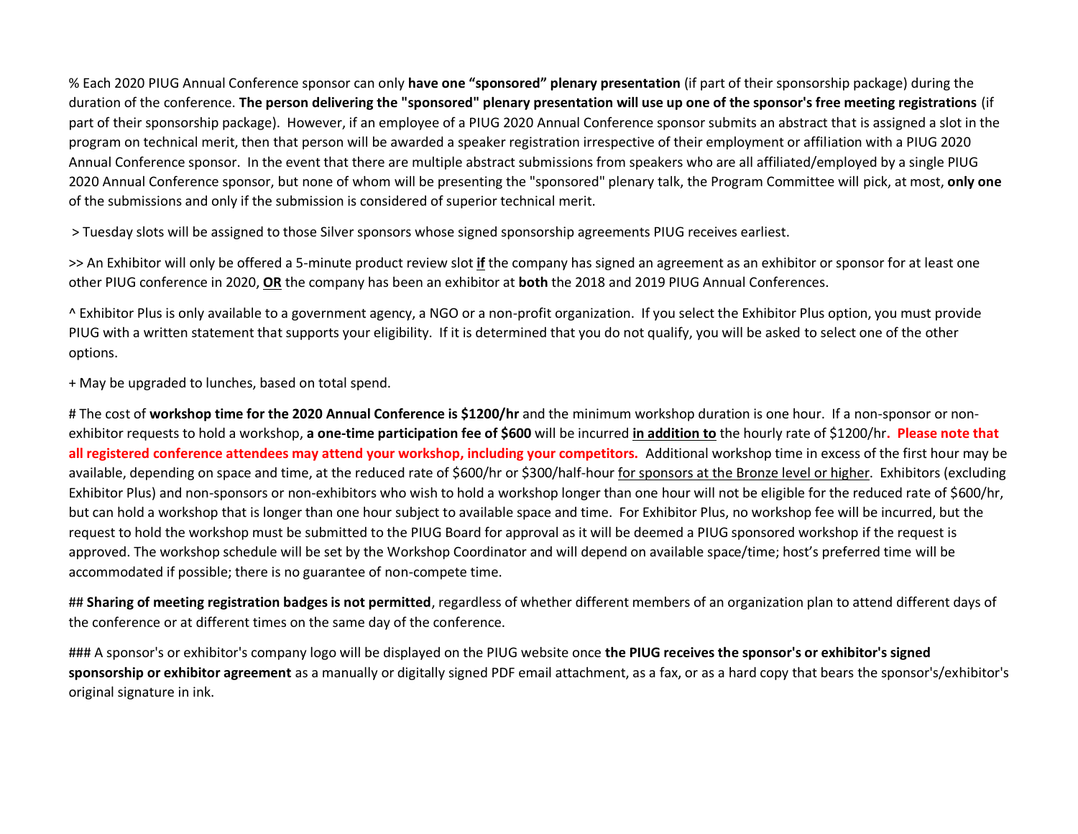% Each 2020 PIUG Annual Conference sponsor can only **have one "sponsored" plenary presentation** (if part of their sponsorship package) during the duration of the conference. The person delivering the "sponsored" plenary presentation will use up one of the sponsor's free meeting registrations (if part of their sponsorship package). However, if an employee of a PIUG 2020 Annual Conference sponsor submits an abstract that is assigned a slot in the program on technical merit, then that person will be awarded a speaker registration irrespective of their employment or affiliation with a PIUG 2020 Annual Conference sponsor. In the event that there are multiple abstract submissions from speakers who are all affiliated/employed by a single PIUG 2020 Annual Conference sponsor, but none of whom will be presenting the "sponsored" plenary talk, the Program Committee will pick, at most, **only one** of the submissions and only if the submission is considered of superior technical merit.

> Tuesday slots will be assigned to those Silver sponsors whose signed sponsorship agreements PIUG receives earliest.

>> An Exhibitor will only be offered a 5-minute product review slot **if** the company has signed an agreement as an exhibitor or sponsor for at least one other PIUG conference in 2020, **OR** the company has been an exhibitor at **both** the 2018 and 2019 PIUG Annual Conferences.

^ Exhibitor Plus is only available to a government agency, a NGO or a non-profit organization. If you select the Exhibitor Plus option, you must provide PIUG with a written statement that supports your eligibility. If it is determined that you do not qualify, you will be asked to select one of the other options.

+ May be upgraded to lunches, based on total spend.

# The cost of **workshop time for the 2020 Annual Conference is \$1200/hr** and the minimum workshop duration is one hour. If a non-sponsor or nonexhibitor requests to hold a workshop, a one-time participation fee of \$600 will be incurred in addition to the hourly rate of \$1200/hr. Please note that all registered conference attendees may attend your workshop, including your competitors. Additional workshop time in excess of the first hour may be available, depending on space and time, at the reduced rate of \$600/hr or \$300/half-hour for sponsors at the Bronze level or higher. Exhibitors (excluding Exhibitor Plus) and non-sponsors or non-exhibitors who wish to hold a workshop longer than one hour will not be eligible for the reduced rate of \$600/hr, but can hold a workshop that is longer than one hour subject to available space and time. For Exhibitor Plus, no workshop fee will be incurred, but the request to hold the workshop must be submitted to the PIUG Board for approval as it will be deemed a PIUG sponsored workshop if the request is approved. The workshop schedule will be set by the Workshop Coordinator and will depend on available space/time; host's preferred time will be accommodated if possible; there is no guarantee of non-compete time.

## **Sharing of meeting registration badges is not permitted**, regardless of whether different members of an organization plan to attend different days of the conference or at different times on the same day of the conference.

### A sponsor's or exhibitor's company logo will be displayed on the PIUG website once **the PIUG receives the sponsor's or exhibitor's signed sponsorship or exhibitor agreement** as a manually or digitally signed PDF email attachment, as a fax, or as a hard copy that bears the sponsor's/exhibitor's original signature in ink.